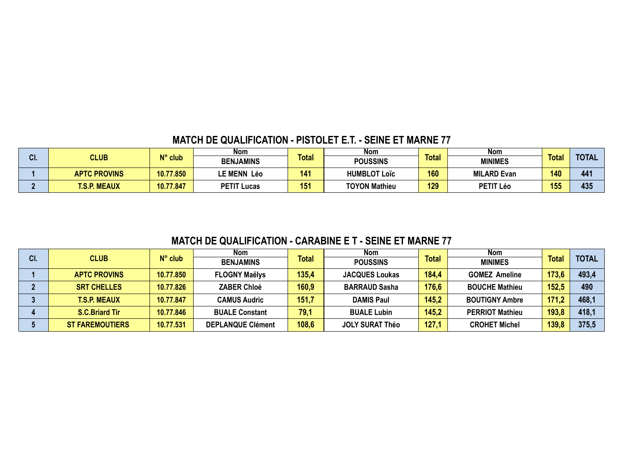# **MATCH DE QUALIFICATION - PISTOLET E.T. - SEINE ET MARNE 77**

| ЛI  | <b>CLUB</b>         | $N^{\circ}$ club | Nom                |              | Nom                  |              | Nom                |              |              |
|-----|---------------------|------------------|--------------------|--------------|----------------------|--------------|--------------------|--------------|--------------|
| vı. |                     |                  | <b>BENJAMINS</b>   | <b>Total</b> | <b>POUSSINS</b>      | <b>Total</b> | <b>MINIMES</b>     | <b>Total</b> | <b>TOTAL</b> |
|     | <b>APTC PROVINS</b> | 10.77.850        | <b>LE MENN Léo</b> | 141          | <b>HUMBLOT Loïc</b>  | 160          | <b>MILARD Evan</b> | 140          | 441          |
|     | <b>T.S.P. MEAUX</b> | 10.77.847        | <b>PETIT Lucas</b> | 151          | <b>TOYON Mathieu</b> | 129          | PETIT Léo          | 155          | 435          |

# **MATCH DE QUALIFICATION - CARABINE E T - SEINE ET MARNE 77**

|     |                        |                  | <b>Nom</b>               |              | <b>Nom</b>             |              | <b>Nom</b>             |              |              |
|-----|------------------------|------------------|--------------------------|--------------|------------------------|--------------|------------------------|--------------|--------------|
| CI. | <b>CLUB</b>            | $N^{\circ}$ club | <b>BENJAMINS</b>         | <b>Total</b> | <b>POUSSINS</b>        | <b>Total</b> | <b>MINIMES</b>         | <b>Total</b> | <b>TOTAL</b> |
|     | <b>APTC PROVINS</b>    | 10.77.850        | <b>FLOGNY Maëlys</b>     | 135,4        | <b>JACQUES Loukas</b>  | 184,4        | <b>GOMEZ Ameline</b>   | 173,6        | 493,4        |
|     | <b>SRT CHELLES</b>     | 10.77.826        | <b>ZABER Chloé</b>       | 160,9        | <b>BARRAUD Sasha</b>   | 176,6        | <b>BOUCHE Mathieu</b>  | 152,5        | 490          |
|     | <b>T.S.P. MEAUX</b>    | 10.77.847        | <b>CAMUS Audric</b>      | 151,7        | <b>DAMIS Paul</b>      | 145,2        | <b>BOUTIGNY Ambre</b>  | 171,2        | 468,         |
|     | <b>S.C.Briard Tir</b>  | 10.77.846        | <b>BUALE Constant</b>    | 79,1         | <b>BUALE Lubin</b>     | 145,2        | <b>PERRIOT Mathieu</b> | 193,8        | 418,1        |
|     | <b>ST FAREMOUTIERS</b> | 10.77.531        | <b>DEPLANQUE Clément</b> | 108,6        | <b>JOLY SURAT Théo</b> | 127.1        | <b>CROHET Michel</b>   | 139,8        | 375,5        |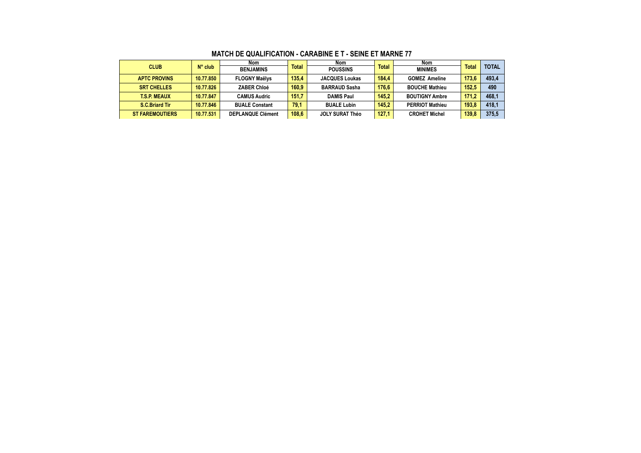|             |                        |                  | Nom                      |              | Nom                    |       | Nom                    |              |              |
|-------------|------------------------|------------------|--------------------------|--------------|------------------------|-------|------------------------|--------------|--------------|
| <b>CLUB</b> |                        | $N^{\circ}$ club | <b>BENJAMINS</b>         | <b>Total</b> | <b>POUSSINS</b>        | Total | <b>MINIMES</b>         | <b>Total</b> | <b>TOTAL</b> |
|             | <b>APTC PROVINS</b>    | 10.77.850        | <b>FLOGNY Maëlys</b>     | 135.4        | <b>JACQUES Loukas</b>  | 184.4 | <b>GOMEZ Ameline</b>   | 173.6        | 493,4        |
|             | <b>SRT CHELLES</b>     | 10.77.826        | <b>ZABER Chloé</b>       | 160.9        | <b>BARRAUD Sasha</b>   | 176.6 | <b>BOUCHE Mathieu</b>  | 152.5        | 490          |
|             | <b>T.S.P. MEAUX</b>    | 10.77.847        | <b>CAMUS Audric</b>      | 151.7        | <b>DAMIS Paul</b>      | 145.2 | <b>BOUTIGNY Ambre</b>  | 171.2        | 468.1        |
|             | S.C.Briard Tir         | 10.77.846        | <b>BUALE Constant</b>    | 79.1         | <b>BUALE Lubin</b>     | 145.2 | <b>PERRIOT Mathieu</b> | 193.8        | 418.1        |
|             | <b>ST FAREMOUTIERS</b> | 10.77.531        | <b>DEPLANQUE Clément</b> | 108.6        | <b>JOLY SURAT Théo</b> | 127,1 | <b>CROHET Michel</b>   | 139,8        | 375,5        |

#### **MATCH DE QUALIFICATION - CARABINE E T - SEINE ET MARNE 77**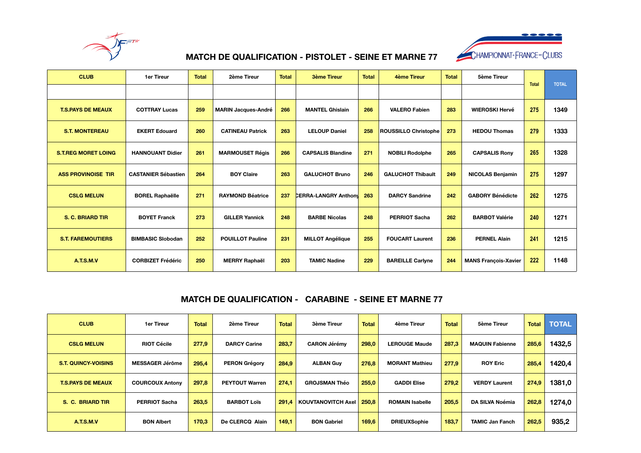



## **MATCH DE QUALIFICATION - PISTOLET - SEINE ET MARNE 77**

| <b>CLUB</b>                | <b>1er Tireur</b>          | <b>Total</b> | 2ème Tireur                | <b>Total</b> | <b>3ème Tireur</b>          | <b>Total</b> | 4ème Tireur              | <b>Total</b> | 5ème Tireur                 |              | <b>TOTAL</b> |
|----------------------------|----------------------------|--------------|----------------------------|--------------|-----------------------------|--------------|--------------------------|--------------|-----------------------------|--------------|--------------|
|                            |                            |              |                            |              |                             |              |                          |              |                             | <b>Total</b> |              |
| <b>T.S.PAYS DE MEAUX</b>   | <b>COTTRAY Lucas</b>       | 259          | <b>MARIN Jacques-André</b> | 266          | <b>MANTEL Ghislain</b>      | 266          | <b>VALERO Fabien</b>     | 283          | <b>WIEROSKI Hervé</b>       | 275          | 1349         |
| <b>S.T. MONTEREAU</b>      | <b>EKERT Edouard</b>       | 260          | <b>CATINEAU Patrick</b>    | 263          | <b>LELOUP Daniel</b>        | 258          | ROUSSILLO Christophe     | 273          | <b>HEDOU Thomas</b>         | 279          | 1333         |
| <b>S.T.REG MORET LOING</b> | <b>HANNOUANT Didier</b>    | 261          | <b>MARMOUSET Régis</b>     | 266          | <b>CAPSALIS Blandine</b>    | 271          | <b>NOBILI Rodolphe</b>   | 265          | <b>CAPSALIS Rony</b>        | 265          | 1328         |
| <b>ASS PROVINOISE TIR</b>  | <b>CASTANIER Sébastien</b> | 264          | <b>BOY Claire</b>          | 263          | <b>GALUCHOT Bruno</b>       | 246          | <b>GALUCHOT Thibault</b> | 249          | <b>NICOLAS Benjamin</b>     | 275          | 1297         |
| <b>CSLG MELUN</b>          | <b>BOREL Raphaëlle</b>     | 271          | <b>RAYMOND Béatrice</b>    | 237          | <b>CERRA-LANGRY Anthony</b> | 263          | <b>DARCY Sandrine</b>    | 242          | <b>GABORY Bénédicte</b>     | 262          | 1275         |
| <b>S. C. BRIARD TIR</b>    | <b>BOYET Franck</b>        | 273          | <b>GILLER Yannick</b>      | 248          | <b>BARBE Nicolas</b>        | 248          | <b>PERRIOT Sacha</b>     | 262          | <b>BARBOT Valérie</b>       | 240          | 1271         |
| <b>S.T. FAREMOUTIERS</b>   | <b>BIMBASIC Slobodan</b>   | 252          | <b>POUILLOT Pauline</b>    | 231          | <b>MILLOT Angélique</b>     | 255          | <b>FOUCART Laurent</b>   | 236          | <b>PERNEL Alain</b>         | 241          | 1215         |
| A.T.S.M.V                  | <b>CORBIZET Frédéric</b>   | 250          | <b>MERRY Raphaël</b>       | 203          | <b>TAMIC Nadine</b>         | 229          | <b>BAREILLE Carlyne</b>  | 244          | <b>MANS François-Xavier</b> | 222          | 1148         |

### **MATCH DE QUALIFICATION - CARABINE - SEINE ET MARNE 77**

| <b>CLUB</b>                | 1er Tireur             | <b>Total</b> | 2ème Tireur           | <b>Total</b> | 3ème Tireur                       | <b>Total</b> | 4ème Tireur            | <b>Total</b> | 5ème Tireur            | <b>Total</b> | <b>TOTAL</b> |
|----------------------------|------------------------|--------------|-----------------------|--------------|-----------------------------------|--------------|------------------------|--------------|------------------------|--------------|--------------|
| <b>CSLG MELUN</b>          | <b>RIOT Cécile</b>     | 277,9        | <b>DARCY Carine</b>   | 283,7        | <b>CARON Jérémy</b>               | 298,0        | <b>LEROUGE Maude</b>   | 287,3        | <b>MAQUIN Fabienne</b> | 285,6        | 1432,5       |
| <b>S.T. QUINCY-VOISINS</b> | <b>MESSAGER Jérôme</b> | 295.4        | <b>PERON Grégory</b>  | 284,9        | <b>ALBAN Guy</b>                  | 276,8        | <b>MORANT Mathieu</b>  | 277,9        | <b>ROY Eric</b>        | 285,4        | 1420,4       |
| <b>T.S.PAYS DE MEAUX</b>   | <b>COURCOUX Antony</b> | 297,8        | <b>PEYTOUT Warren</b> | 274,1        | <b>GROJSMAN Théo</b>              | 255,0        | <b>GADDI Elise</b>     | 279.2        | <b>VERDY Laurent</b>   | 274,9        | 1381,0       |
| S. C. BRIARD TIR           | <b>PERRIOT Sacha</b>   | 263.5        | <b>BARBOT Loïs</b>    |              | <b>291.4   KOUVTANOVITCH Axel</b> | 250.8        | <b>ROMAIN Isabelle</b> | 205,5        | DA SILVA Noémia        | 262,8        | 1274,0       |
| A.T.S.M.V                  | <b>BON Albert</b>      | 170.3        | De CLERCQ Alain       | 149.1        | <b>BON Gabriel</b>                | 169,6        | <b>DRIEUXSophie</b>    | 183,7        | <b>TAMIC Jan Fanch</b> | 262.5        | 935,2        |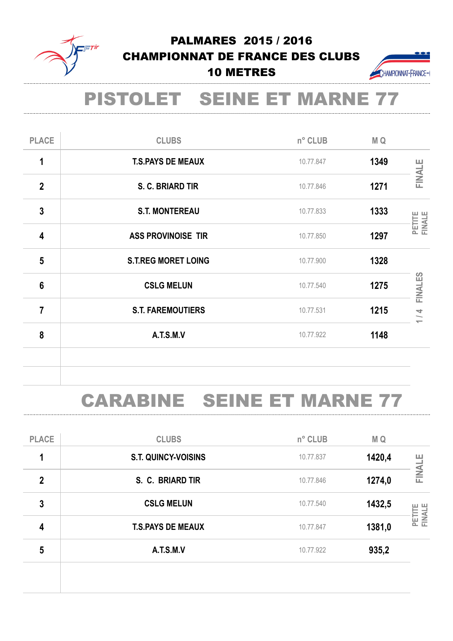

# PALMARES 2015 / 2016 CHAMPIONNAT DE FRANCE DES CLUBS 10 METRES



# PISTOLET SEINE ET MARNE 77

| <b>PLACE</b>    | <b>CLUBS</b>               | n° CLUB   | M Q  |                                            |
|-----------------|----------------------------|-----------|------|--------------------------------------------|
| 1               | <b>T.S.PAYS DE MEAUX</b>   | 10.77.847 | 1349 | <b>FINALE</b>                              |
| $\overline{2}$  | S. C. BRIARD TIR           | 10.77.846 | 1271 |                                            |
| $\overline{3}$  | <b>S.T. MONTEREAU</b>      | 10.77.833 | 1333 | PETITE<br>FINALE                           |
| 4               | <b>ASS PROVINOISE TIR</b>  | 10.77.850 | 1297 |                                            |
| 5               | <b>S.T.REG MORET LOING</b> | 10.77.900 | 1328 |                                            |
| $6\phantom{1}6$ | <b>CSLG MELUN</b>          | 10.77.540 | 1275 | FINALES                                    |
| 7               | <b>S.T. FAREMOUTIERS</b>   | 10.77.531 | 1215 | $\overline{4}$<br>$\overline{\phantom{0}}$ |
| 8               | A.T.S.M.V                  | 10.77.922 | 1148 |                                            |
|                 |                            |           |      |                                            |

# CARABINE SEINE ET MARNE 77

| 6                       | <b>CSLG MELUN</b>                 |           | 10.77.540 | 1275           | FINALES          |  |
|-------------------------|-----------------------------------|-----------|-----------|----------------|------------------|--|
| $\overline{7}$          | <b>S.T. FAREMOUTIERS</b>          | 10.77.531 | 1215      | $\overline{4}$ |                  |  |
| 8                       | A.T.S.M.V                         |           | 10.77.922 | 1148           |                  |  |
|                         |                                   |           |           |                |                  |  |
|                         | <b>CARABINE SEINE ET MARNE 77</b> |           |           |                |                  |  |
| <b>PLACE</b>            | <b>CLUBS</b>                      |           | n° CLUB   | M Q            |                  |  |
| 1                       | <b>S.T. QUINCY-VOISINS</b>        |           | 10.77.837 | 1420,4         |                  |  |
| $\overline{2}$          | S. C. BRIARD TIR                  |           | 10.77.846 | 1274,0         | <b>FINALE</b>    |  |
| $\overline{3}$          | <b>CSLG MELUN</b>                 |           | 10.77.540 | 1432,5         |                  |  |
| $\overline{\mathbf{4}}$ | <b>T.S.PAYS DE MEAUX</b>          |           | 10.77.847 | 1381,0         | PETITE<br>FINALE |  |
|                         |                                   |           |           |                |                  |  |